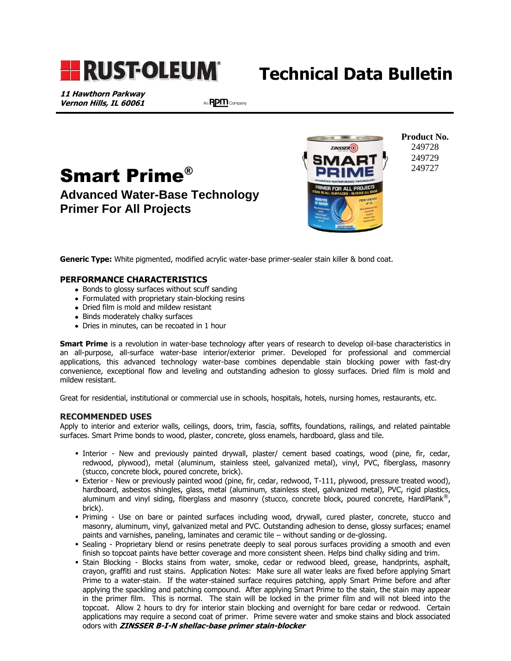

# **Technical Data Bulletin**

**11 Hawthorn Parkway Vernon Hills, IL 60061**

֖֖֖֚֚֚֚֚֚֬

An RPM Company





**Product No.** 249728 249729 249727

**Generic Type:** White pigmented, modified acrylic water-base primer-sealer stain killer & bond coat.

### **PERFORMANCE CHARACTERISTICS**

- Bonds to glossy surfaces without scuff sanding
- Formulated with proprietary stain-blocking resins
- Dried film is mold and mildew resistant
- Binds moderately chalky surfaces
- Dries in minutes, can be recoated in 1 hour

**Smart Prime** is a revolution in water-base technology after years of research to develop oil-base characteristics in an all-purpose, all-surface water-base interior/exterior primer. Developed for professional and commercial applications, this advanced technology water-base combines dependable stain blocking power with fast-dry convenience, exceptional flow and leveling and outstanding adhesion to glossy surfaces. Dried film is mold and mildew resistant.

Great for residential, institutional or commercial use in schools, hospitals, hotels, nursing homes, restaurants, etc.

#### **RECOMMENDED USES**

Apply to interior and exterior walls, ceilings, doors, trim, fascia, soffits, foundations, railings, and related paintable surfaces. Smart Prime bonds to wood, plaster, concrete, gloss enamels, hardboard, glass and tile.

- Interior New and previously painted drywall, plaster/ cement based coatings, wood (pine, fir, cedar, redwood, plywood), metal (aluminum, stainless steel, galvanized metal), vinyl, PVC, fiberglass, masonry (stucco, concrete block, poured concrete, brick).
- Exterior New or previously painted wood (pine, fir, cedar, redwood, T-111, plywood, pressure treated wood), hardboard, asbestos shingles, glass, metal (aluminum, stainless steel, galvanized metal), PVC, rigid plastics, aluminum and vinyl siding, fiberglass and masonry (stucco, concrete block, poured concrete, HardiPlank®, brick).
- Priming Use on bare or painted surfaces including wood, drywall, cured plaster, concrete, stucco and masonry, aluminum, vinyl, galvanized metal and PVC. Outstanding adhesion to dense, glossy surfaces; enamel paints and varnishes, paneling, laminates and ceramic tile – without sanding or de-glossing.
- Sealing Proprietary blend or resins penetrate deeply to seal porous surfaces providing a smooth and even finish so topcoat paints have better coverage and more consistent sheen. Helps bind chalky siding and trim.
- Stain Blocking Blocks stains from water, smoke, cedar or redwood bleed, grease, handprints, asphalt, crayon, graffiti and rust stains. Application Notes: Make sure all water leaks are fixed before applying Smart Prime to a water-stain. If the water-stained surface requires patching, apply Smart Prime before and after applying the spackling and patching compound. After applying Smart Prime to the stain, the stain may appear in the primer film. This is normal. The stain will be locked in the primer film and will not bleed into the topcoat. Allow 2 hours to dry for interior stain blocking and overnight for bare cedar or redwood. Certain applications may require a second coat of primer. Prime severe water and smoke stains and block associated odors with **ZINSSER B-I-N shellac-base primer stain-blocker**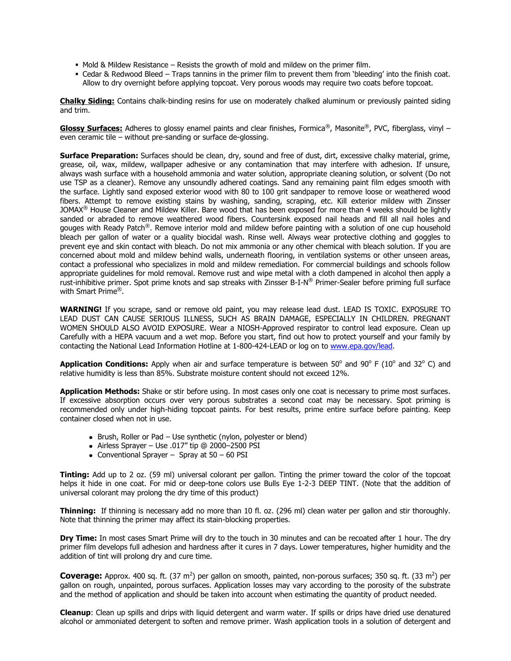- Mold & Mildew Resistance Resists the growth of mold and mildew on the primer film.
- Cedar & Redwood Bleed Traps tannins in the primer film to prevent them from 'bleeding' into the finish coat. Allow to dry overnight before applying topcoat. Very porous woods may require two coats before topcoat.

**Chalky Siding:** Contains chalk-binding resins for use on moderately chalked aluminum or previously painted siding and trim.

**Glossy Surfaces:** Adheres to glossy enamel paints and clear finishes, Formica®, Masonite®, PVC, fiberglass, vinyl – even ceramic tile – without pre-sanding or surface de-glossing.

**Surface Preparation:** Surfaces should be clean, dry, sound and free of dust, dirt, excessive chalky material, grime, grease, oil, wax, mildew, wallpaper adhesive or any contamination that may interfere with adhesion. If unsure, always wash surface with a household ammonia and water solution, appropriate cleaning solution, or solvent (Do not use TSP as a cleaner). Remove any unsoundly adhered coatings. Sand any remaining paint film edges smooth with the surface. Lightly sand exposed exterior wood with 80 to 100 grit sandpaper to remove loose or weathered wood fibers. Attempt to remove existing stains by washing, sanding, scraping, etc. Kill exterior mildew with Zinsser JOMAX<sup>®</sup> House Cleaner and Mildew Killer. Bare wood that has been exposed for more than 4 weeks should be lightly sanded or abraded to remove weathered wood fibers. Countersink exposed nail heads and fill all nail holes and gouges with Ready Patch®. Remove interior mold and mildew before painting with a solution of one cup household bleach per gallon of water or a quality biocidal wash. Rinse well. Always wear protective clothing and goggles to prevent eye and skin contact with bleach. Do not mix ammonia or any other chemical with bleach solution. If you are concerned about mold and mildew behind walls, underneath flooring, in ventilation systems or other unseen areas, contact a professional who specializes in mold and mildew remediation. For commercial buildings and schools follow appropriate guidelines for mold removal. Remove rust and wipe metal with a cloth dampened in alcohol then apply a rust-inhibitive primer. Spot prime knots and sap streaks with Zinsser B-I-N® Primer-Sealer before priming full surface with Smart Prime®.

**WARNING!** If you scrape, sand or remove old paint, you may release lead dust. LEAD IS TOXIC. EXPOSURE TO LEAD DUST CAN CAUSE SERIOUS ILLNESS, SUCH AS BRAIN DAMAGE, ESPECIALLY IN CHILDREN. PREGNANT WOMEN SHOULD ALSO AVOID EXPOSURE. Wear a NIOSH-Approved respirator to control lead exposure. Clean up Carefully with a HEPA vacuum and a wet mop. Before you start, find out how to protect yourself and your family by contacting the National Lead Information Hotline at 1-800-424-LEAD or log on to [www.epa.gov/lead.](http://www.epa.gov/lead)

**Application Conditions:** Apply when air and surface temperature is between 50° and 90° F (10° and 32° C) and relative humidity is less than 85%. Substrate moisture content should not exceed 12%.

**Application Methods:** Shake or stir before using. In most cases only one coat is necessary to prime most surfaces. If excessive absorption occurs over very porous substrates a second coat may be necessary. Spot priming is recommended only under high-hiding topcoat paints. For best results, prime entire surface before painting. Keep container closed when not in use.

- Brush, Roller or Pad Use synthetic (nylon, polyester or blend)
- Airless Sprayer Use .017" tip @ 2000-2500 PSI
- Conventional Sprayer Spray at  $50 60$  PSI

**Tinting:** Add up to 2 oz. (59 ml) universal colorant per gallon. Tinting the primer toward the color of the topcoat helps it hide in one coat. For mid or deep-tone colors use Bulls Eye 1-2-3 DEEP TINT. (Note that the addition of universal colorant may prolong the dry time of this product)

**Thinning:** If thinning is necessary add no more than 10 fl. oz. (296 ml) clean water per gallon and stir thoroughly. Note that thinning the primer may affect its stain-blocking properties.

**Dry Time:** In most cases Smart Prime will dry to the touch in 30 minutes and can be recoated after 1 hour. The dry primer film develops full adhesion and hardness after it cures in 7 days. Lower temperatures, higher humidity and the addition of tint will prolong dry and cure time.

Coverage: Approx. 400 sq. ft. (37 m<sup>2</sup>) per gallon on smooth, painted, non-porous surfaces; 350 sq. ft. (33 m<sup>2</sup>) per gallon on rough, unpainted, porous surfaces. Application losses may vary according to the porosity of the substrate and the method of application and should be taken into account when estimating the quantity of product needed.

**Cleanup**: Clean up spills and drips with liquid detergent and warm water. If spills or drips have dried use denatured alcohol or ammoniated detergent to soften and remove primer. Wash application tools in a solution of detergent and